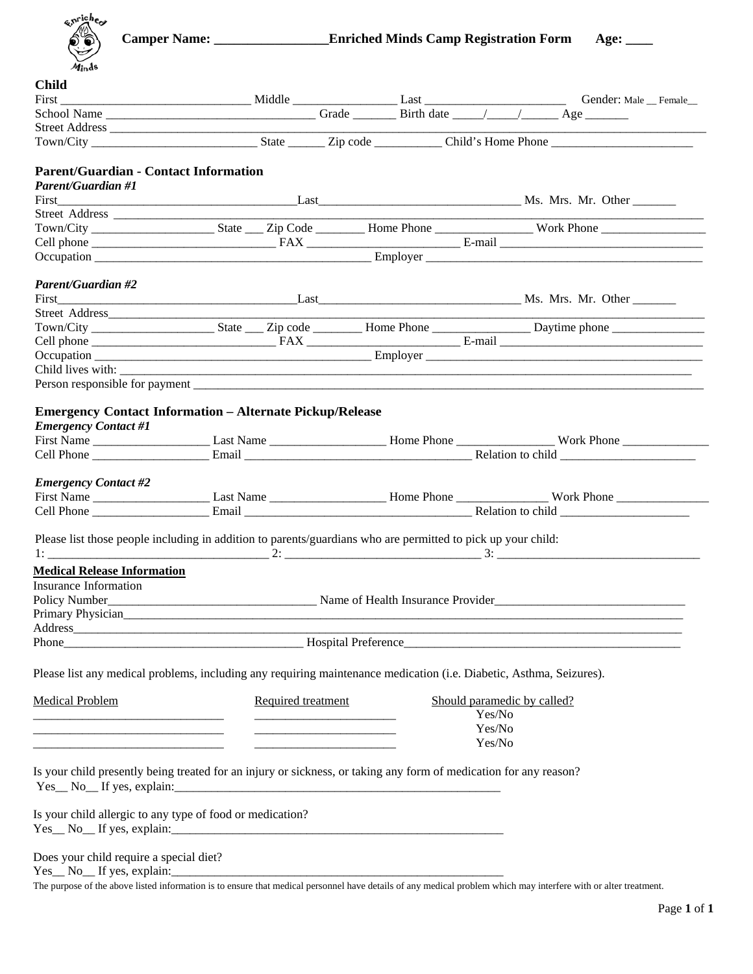| enriches                           | Camper Name: _________________________Enriched Minds Camp Registration Form                                                                      |                    |  |                             |  | Age: $\_\_$ |  |
|------------------------------------|--------------------------------------------------------------------------------------------------------------------------------------------------|--------------------|--|-----------------------------|--|-------------|--|
| Minds                              |                                                                                                                                                  |                    |  |                             |  |             |  |
| <b>Child</b>                       |                                                                                                                                                  |                    |  |                             |  |             |  |
|                                    |                                                                                                                                                  |                    |  |                             |  |             |  |
|                                    | First Conder: Male Conder: Male Conder: Male Female                                                                                              |                    |  |                             |  |             |  |
|                                    |                                                                                                                                                  |                    |  |                             |  |             |  |
|                                    |                                                                                                                                                  |                    |  |                             |  |             |  |
|                                    | <b>Parent/Guardian - Contact Information</b>                                                                                                     |                    |  |                             |  |             |  |
| <b>Parent/Guardian #1</b>          |                                                                                                                                                  |                    |  |                             |  |             |  |
|                                    |                                                                                                                                                  |                    |  |                             |  |             |  |
|                                    |                                                                                                                                                  |                    |  |                             |  |             |  |
|                                    |                                                                                                                                                  |                    |  |                             |  |             |  |
|                                    |                                                                                                                                                  |                    |  |                             |  |             |  |
|                                    |                                                                                                                                                  |                    |  |                             |  |             |  |
| Parent/Guardian #2                 |                                                                                                                                                  |                    |  |                             |  |             |  |
|                                    |                                                                                                                                                  |                    |  |                             |  |             |  |
|                                    |                                                                                                                                                  |                    |  |                             |  |             |  |
|                                    |                                                                                                                                                  |                    |  |                             |  |             |  |
|                                    |                                                                                                                                                  |                    |  |                             |  |             |  |
|                                    |                                                                                                                                                  |                    |  |                             |  |             |  |
|                                    |                                                                                                                                                  |                    |  |                             |  |             |  |
|                                    |                                                                                                                                                  |                    |  |                             |  |             |  |
|                                    |                                                                                                                                                  |                    |  |                             |  |             |  |
|                                    | <b>Emergency Contact Information - Alternate Pickup/Release</b>                                                                                  |                    |  |                             |  |             |  |
| <b>Emergency Contact #1</b>        |                                                                                                                                                  |                    |  |                             |  |             |  |
|                                    |                                                                                                                                                  |                    |  |                             |  |             |  |
|                                    |                                                                                                                                                  |                    |  |                             |  |             |  |
|                                    |                                                                                                                                                  |                    |  |                             |  |             |  |
| <b>Emergency Contact #2</b>        |                                                                                                                                                  |                    |  |                             |  |             |  |
|                                    |                                                                                                                                                  |                    |  |                             |  |             |  |
|                                    |                                                                                                                                                  |                    |  |                             |  |             |  |
|                                    | Please list those people including in addition to parents/guardians who are permitted to pick up your child:                                     |                    |  |                             |  |             |  |
|                                    |                                                                                                                                                  |                    |  |                             |  |             |  |
| <b>Medical Release Information</b> |                                                                                                                                                  |                    |  |                             |  |             |  |
|                                    |                                                                                                                                                  |                    |  |                             |  |             |  |
| Insurance Information              |                                                                                                                                                  |                    |  |                             |  |             |  |
|                                    |                                                                                                                                                  |                    |  |                             |  |             |  |
|                                    |                                                                                                                                                  |                    |  |                             |  |             |  |
|                                    |                                                                                                                                                  |                    |  |                             |  |             |  |
|                                    |                                                                                                                                                  |                    |  |                             |  |             |  |
|                                    | Please list any medical problems, including any requiring maintenance medication (i.e. Diabetic, Asthma, Seizures).                              |                    |  |                             |  |             |  |
| <b>Medical Problem</b>             |                                                                                                                                                  | Required treatment |  | Should paramedic by called? |  |             |  |
|                                    |                                                                                                                                                  |                    |  | Yes/No                      |  |             |  |
|                                    |                                                                                                                                                  |                    |  | Yes/No                      |  |             |  |
|                                    |                                                                                                                                                  |                    |  | Yes/No                      |  |             |  |
|                                    |                                                                                                                                                  |                    |  |                             |  |             |  |
|                                    | Is your child presently being treated for an injury or sickness, or taking any form of medication for any reason?<br>$Yes_ No_ If yes, explain:$ |                    |  |                             |  |             |  |
|                                    |                                                                                                                                                  |                    |  |                             |  |             |  |
|                                    | Is your child allergic to any type of food or medication?                                                                                        |                    |  |                             |  |             |  |
|                                    |                                                                                                                                                  |                    |  |                             |  |             |  |
|                                    |                                                                                                                                                  |                    |  |                             |  |             |  |
|                                    |                                                                                                                                                  |                    |  |                             |  |             |  |
|                                    | Does your child require a special diet?                                                                                                          |                    |  |                             |  |             |  |